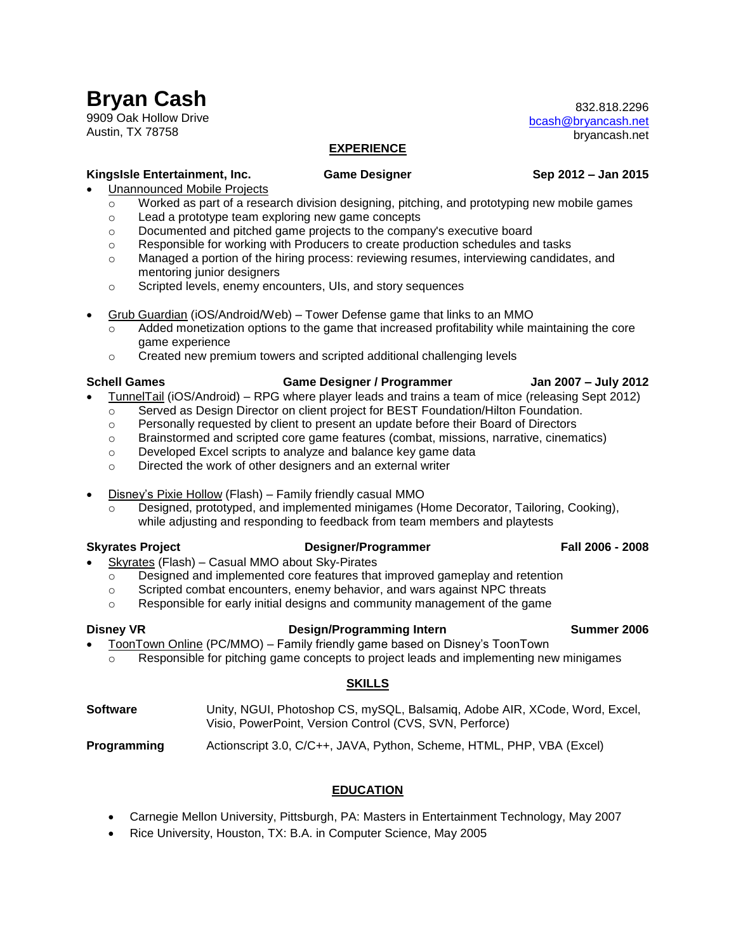832.818.2296 [bcash@bryancash.net](mailto:bcash@bryancash.net) bryancash.net

## **EXPERIENCE**

## **KingsIsle Entertainment, Inc. Game Designer Sep 2012 – Jan 2015**

- Unannounced Mobile Projects
	- $\circ$  Worked as part of a research division designing, pitching, and prototyping new mobile games
	- o Lead a prototype team exploring new game concepts
	- o Documented and pitched game projects to the company's executive board
	- $\circ$  Responsible for working with Producers to create production schedules and tasks
	- o Managed a portion of the hiring process: reviewing resumes, interviewing candidates, and mentoring junior designers
	- o Scripted levels, enemy encounters, UIs, and story sequences
- Grub Guardian (iOS/Android/Web) Tower Defense game that links to an MMO
	- $\circ$  Added monetization options to the game that increased profitability while maintaining the core game experience
	- o Created new premium towers and scripted additional challenging levels

## **Schell Games Game Designer / Programmer Jan 2007 – July 2012**

- TunnelTail (iOS/Android) RPG where player leads and trains a team of mice (releasing Sept 2012)
	- o Served as Design Director on client project for BEST Foundation/Hilton Foundation.
	- o Personally requested by client to present an update before their Board of Directors
	- o Brainstormed and scripted core game features (combat, missions, narrative, cinematics)
	- o Developed Excel scripts to analyze and balance key game data
	- o Directed the work of other designers and an external writer
- Disney's Pixie Hollow (Flash) Family friendly casual MMO
	- $\circ$  Designed, prototyped, and implemented minigames (Home Decorator, Tailoring, Cooking), while adjusting and responding to feedback from team members and playtests

## **Skyrates Project Designer/Programmer Fall 2006 - 2008**

- Skyrates (Flash) Casual MMO about Sky-Pirates
	- $\circ$  Designed and implemented core features that improved gameplay and retention
	- $\circ$  Scripted combat encounters, enemy behavior, and wars against NPC threats
	- $\circ$  Responsible for early initial designs and community management of the game

## **Disney VR Design/Programming Intern Summer 2006**

 ToonTown Online (PC/MMO) – Family friendly game based on Disney's ToonTown o Responsible for pitching game concepts to project leads and implementing new minigames

## **SKILLS**

| <b>Software</b> | Unity, NGUI, Photoshop CS, mySQL, Balsamig, Adobe AIR, XCode, Word, Excel, |
|-----------------|----------------------------------------------------------------------------|
|                 | Visio, PowerPoint, Version Control (CVS, SVN, Perforce)                    |

## **Programming** Actionscript 3.0, C/C++, JAVA, Python, Scheme, HTML, PHP, VBA (Excel)

## **EDUCATION**

- Carnegie Mellon University, Pittsburgh, PA: Masters in Entertainment Technology, May 2007
- Rice University, Houston, TX: B.A. in Computer Science, May 2005

# **Bryan Cash**

9909 Oak Hollow Drive Austin, TX 78758